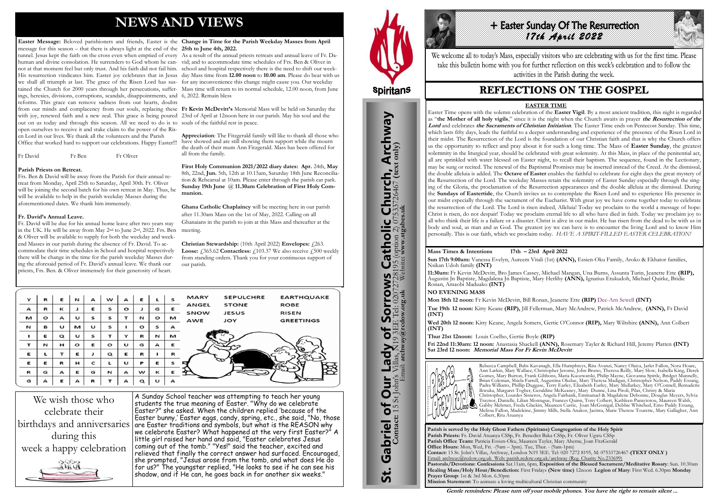# **NEWS AND VIEWS**

**Easter Message:** Beloved parishioners and friends, Easter is the **Change in Time for the Parish Weekday Masses from April**  message for this season – that there is always light at the end of the **25th to June 4th, 2022.** tunnel. Jesus kept the faith on the cross even when emptied of every As a result of the annual priests retreats and annual leave of Fr. Dahuman and divine consolation. He surrenders to God whom he can-vid; and to accommodate time schedules of Frs. Ben & Oliver in not at that moment feel but only trust. And his faith did not fail him. school and hospital respectively there is the need to shift our week-His resurrection vindicates him. Easter joy celebrates that in Jesus day Mass time from **12.00 noon** to **10.00 am**. Please do bear with us we shall all triumph at last. The grace of the Risen Lord has sus-for any inconvenience this change might cause you. Our weekday tained the Church for 2000 years through her persecutions, suffer-Mass time will return to its normal schedule, 12.00 noon, from June ings, heresies, divisions, corruptions, scandals, disappointments, and 6, 2022. Remain bless reforms. This grace can remove sadness from our hearts, doubts from our minds and complacency from our souls, replacing these **Fr Kevin McDevitt's** Memorial Mass will be held on Saturday the with joy, renewed faith and a new zeal. This grace is being poured 23rd of April at 12noon here in our parish. May his soul and the out on us today and through this season. All we need to do is to souls of the faithful rest in peace. open ourselves to receive it and stake claim to the power of the Risen Lord in our lives. We thank all the volunteers and the Parish

Fr David Fr Ben Fr Oliver

#### **Parish Priests on Retreat.**

Frs. Ben & David will be away from the Parish for their annual retreat from Monday, April 25th to Saturday, April 30th. Fr. Oliver will be joining the second batch for his own retreat in May. Thus, he will be available to help in the parish weekday Masses during the aforementioned dates. We thank him immensely.

#### **Fr. David's Annual Leave.**

Fr. David will be due for his annual home leave after two years stay in the UK. He will be away from May 2nd to June 2nd, 2022. Frs. Ben & Oliver will be available to supply for both the weekday and weekend Masses in our parish during the absence of Fr. David. To accommodate their time schedules in School and hospital respectively there will be change in the time for the parish weekday Masses during the aforesaid period of Fr. David's annual leave. We thank our priests, Frs. Ben. & Oliver immensely for their generosity of heart.

We wish those who celebrate their during this week a happy celebration AWA

Office that worked hard to support our celebrations. Happy Easter!!! have showed and are still showing them support while the mourn **Appreciation**: The Fitzgerald family will like to thank all those who the death of their mum Ann Fitzgerald. Mass has been offered for all from the family.

birthdays and anniversaries are Easter traditions and symbols, but what is the REASON why A Sunday School teacher was attempting to teach her young students the true meaning of Easter. "Why do we celebrate Easter?" she asked. When the children replied 'because of the Easter bunny,' Easter eggs, candy, spring, etc., she said, "No, those we celebrate Easter? What happened at the very first Easter?" A little girl raised her hand and said, "Easter celebrates Jesus coming out of the tomb." "Yes!" said the teacher, excited and relieved that finally the correct answer had surfaced. Encouraged, she prompted, "Jesus arose from the tomb, and what does He do for us?" The youngster replied, "He looks to see if he can see his shadow, and if He can, he goes back in for another six weeks."



St. Gabriel of Our Lady of Sorrows Catholic Church, Archway

Gabriel of Our Lady of Sorrows

**St.** 

**S Catholic Church, Archway**<br>28195 (option 2) 07533726467 (text only)

## + Easter Sunday Of The Resurrection *17th April 2022*

We welcome all to today's Mass, especially visitors who are celebrating with us for the first time. Please take this bulletin home with you for further reflection on this week's celebration and to follow the activities in the Parish during the week.

## **REFLECTIONS ON THE GOSPEL**

**First Holy Communion 2021/2022 diary dates: Apr.** 24th, **May**  8th, 22nd, **Jun.** 5th, 12th at 10.15am, Saturday 18th June Reconciliation & Rehearsal at 10am. Please enter through the parish car park. **Sunday 19th June** @ **11.30am Celebration of First Holy Communion.**

**Ghana Catholic Chaplaincy** will be meeting here in our parish after 11.30am Mass on the 1st of May, 2022. Calling on all Ghanaians in the parish to join at this Mass and thereafter at the meeting.

**Christian Stewardship:** (10th April 2022) **Envelopes:** £263. **Loose:**  $\angle 365.62$  **Contactless:**  $\angle 103.37$  We also receive  $\angle 500$  weekly from standing orders. Thank you for your continuous support of our parish.

| Y           | R       | Е        | N       | A | w           | A       | Е        |         | S | <b>MARY</b>  | <b>SEPULCHRE</b> | <b>EARTHQUAKE</b> |
|-------------|---------|----------|---------|---|-------------|---------|----------|---------|---|--------------|------------------|-------------------|
| A           | R       | к        |         | Ε | s           | $\circ$ | J        | G       | Е | <b>ANGEL</b> | <b>STONE</b>     | <b>ROBE</b>       |
|             |         |          |         |   |             |         |          |         |   | SNOW         | <b>JESUS</b>     | <b>RISEN</b>      |
| м           | $\circ$ | A        | U       | s | s           |         | И        | $\circ$ | м | AWE          | <b>JOY</b>       | <b>GREETINGS</b>  |
| N           | в       | U        | м       | U | s           |         | $\circ$  | s       | A |              |                  |                   |
|             | Е       | $\alpha$ | U       | s | т           | Y       | R        | N       | M |              |                  |                   |
| т           | N       | н        | $\circ$ | Е | $\circ$     | U       | G        | А       | Е |              |                  |                   |
| Е           | L       | т        | Е       | J | $\mathbf Q$ | Е       | R        |         | R |              |                  |                   |
| Е           | Ε       | R        | н       | c |             | U       | P        | Е       | s |              |                  | $\epsilon$        |
| $\mathbf R$ | G       | A        | Е       | G | N           | A       | w        | к       | E |              |                  |                   |
| G           | А       | Е        | A       | R |             | A       | $\alpha$ | U       | A |              |                  |                   |

**Parish is served by the Holy Ghost Fathers (Spiritans) Congregation of the Holy Spirit Parish Priests:** Fr. David Atuanya CSSp, Fr. Benedict Baka CSSp, Fr. Oliver Ugwu CSSp **Parish Office Team:** Patricia Essien-Oku, Maureen Tayler, Mary Aherne, Joan FitzGerald **Office Hours:** Mon, Wed, Fri. -(9am – 3pm). Tue, Thur. - (9am-1pm) **Contact:** 15 St. John's Villas, Archway, London N19 3EE. Tel: 020 7272 8195, M: 07533726467-**(TEXT ONLY )** Email: archway@rcdow.org.uk Web: parish.rcdow.org.uk/archway (Reg. Charity No.233699) **Pastorals/Devotions: Confessions** Sat.11am, 6pm, **Exposition of the Blessed Sacrament/Meditative Rosary**: Sun. 10.30am **Healing Mass/Holy Hour/Benediction:** First Fridays **(New time)** 12noon **Legion of Mary**: First Wed. 6.30pm **Monday Prayer Group**: 1st & 3rd Mon. 6.30pm **Mission Statement:** To animate a loving multicultural Christian community

**Contact:** 15 St John's Villas, N19 3EE Tel: 02072728195 (option 2) 07533726467 **(text only)** Email: **archway@rcdow.org.uk** Website**: www.stgabes.uk**

#### **Mass Times & Intentions 17th – 23rd April 2022**

**Sun 17th 9:00am:** Vanessa Evelyn, Aureem Vitali (1st) **(ANN),** Essien-Oku Family, Aroko & Ekhator families, Nsikan Udoh family **(INT)**

**11:30am:** Fr Kevin McDevitt, Bro James Cassey, Michael Mangan, Una Burns, Assunta Turin, Jeanette Ette **(RIP),** Augustin Jn Baptiste, Magdalena Jn Baptiste, Mary Herlihy **(ANN),** Ignatius Etukudoh, Michael Quirke, Bridie Ronan, Amaobi Maduako **(INT)**

**NO EVENING MASS**

**Mon 18th 12 noon:** Fr Kevin McDevitt, Bill Ronan, Jeanette Ette **(RIP)** Dee-Arn Sewell **(INT) Tue 19th 12 noon:** Kitty Keane **(RIP),** Jill Fellerman, Mary McAndrew, Patrick McAndrew, **(ANN),** Fr David

**(INT) Wed 20th 12 noon:** Kitty Keane, Angela Somers, Gertie O'Connor **(RIP),** Mary Wiltshire **(ANN),** Ann Colbert **(INT)** 

**Thur 21st 12noon:** Louis Coelho, Gertie Boyle **(RIP) Fri 22nd 11:30am: 12 noon:** Anastasia Shackell **(ANN),** Rosemary Tayler & Richard Hill, Jeremy Platten **(INT) Sat 23rd 12 noon: Memorial Mass For Fr Kevin McDevitt**



Rebecca Campbell, Babs Kavanagh, Ella Humphreys, Rita Avanzi, Nancy Olaiya, Jarlet Fallon, Nora Hoare, Ann Larkin, Mary Wallace, Christopher Jerome, John Bruno, Theresa Reilly, Mary Slow, Isabella King, Derek Gomes, Mary Burton, Frank Gibbons, Maria Kuozwatski, Philip Mayne, Giovanna Spittle, Bridget Munnelly, Brian Coleman, Shiela Farrell, Augustina Okelue, Mary Theresa Madigan, Christopher Nelson, Paddy Essang, Padra Williams, Phillip Duggase, Terry Earley, Elizabeth Earley, Mary Mullarkey, Mary O'Connell, Bernadette Ikwuka, Margaret Togher, Geraldine McKeaney, Mary Dunne, Lina Piroli, Pilar, Christy & Maria Christopher, Lourdes Sisneros, Angela Fairbank, Emmanuel & Magdalene Debonne, Douglas Meyers, Sylvia Traynor, Danielle, Lilian Montague, Frances Quinn, Tony Colbert, Kathleen Panayiotou, Maureen Walsh, Gabby Mehmet, Freda Glackin, Maureen Currie, Joan McGonigal, Debbie Whitehed, Emo Paddy Essang, Melissa Fallon, Madeleine, Jimmy Mills, Stella Anakor, Jacinta, Marie Therese Tourette, Mary Gallagher, Ann Colbert, Rita Atuanya

**Gentle reminders: Please turn off your mobile phones. You have the right to remain silent ...** 

#### **EASTER TIME**

Easter Time opens with the solemn celebration of the **Easter Vigil**. By a most ancient tradition, this night is regarded as "**the Mother of all holy vigils**," since it is the night when the Church awaits in prayer **the Resurrection of the Lord** and celebrates **the Sacraments of Christian Initiation**. The Easter Time ends on Pentecost Sunday. This time, which lasts fifty days, leads the faithful to a deeper understanding and experience of the presence of the Risen Lord in their midst. The Resurrection of the Lord is the foundation of our Christian faith and that is why the Church offers us the opportunity to reflect and pray about it for such a long time. The Mass of **Easter Sunday**, the greatest solemnity in the liturgical year, should be celebrated with great solemnity. At this Mass, in place of the penitential act, all are sprinkled with water blessed on Easter night, to recall their baptism. The sequence, found in the Lectionary, may be sung or recited. The renewal of the Baptismal Promises may be inserted instead of the Creed. At the dismissal, the double alleluia is added. The **Octave of Easter** enables the faithful to celebrate for eight days the great mystery of the Resurrection of the Lord. The weekday Masses retain the solemnity of Easter Sunday especially through the singing of the Gloria, the proclamation of the Resurrection appearances and the double alleluia at the dismissal. During the **Sundays of Eastertide**, the Church invites us to contemplate the Risen Lord and to experience His presence in our midst especially through the sacrament of the Eucharist. With great joy we have come together today to celebrate the resurrection of the Lord. The Lord is risen indeed, Alleluia! Today we proclaim to the world a message of hope: Christ is risen, do not despair! Today we proclaim eternal life to all who have died in faith. Today we proclaim joy to all who think their life is a failure or a disaster. Christ is alive in our midst. He has risen from the dead to be with us in body and soul, as man and as God. The greatest joy we can have is to encounter the living Lord and to know Him personally. This is our faith, which we proclaim today. *HAVE A SPIRIT-FILLED EASTER CELEBRATION!*